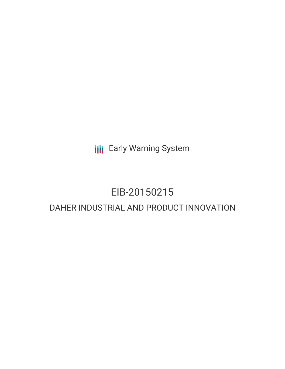**III** Early Warning System

## EIB-20150215

### DAHER INDUSTRIAL AND PRODUCT INNOVATION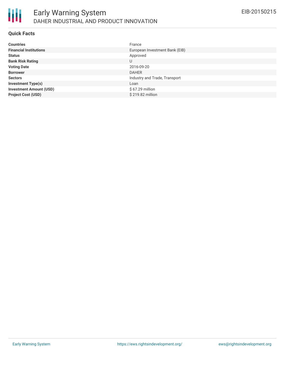

### **Quick Facts**

| <b>Countries</b>               | France                         |
|--------------------------------|--------------------------------|
| <b>Financial Institutions</b>  | European Investment Bank (EIB) |
| <b>Status</b>                  | Approved                       |
| <b>Bank Risk Rating</b>        | U                              |
| <b>Voting Date</b>             | 2016-09-20                     |
| <b>Borrower</b>                | <b>DAHER</b>                   |
| <b>Sectors</b>                 | Industry and Trade, Transport  |
| <b>Investment Type(s)</b>      | Loan                           |
| <b>Investment Amount (USD)</b> | \$67.29 million                |
| <b>Project Cost (USD)</b>      | \$219.82 million               |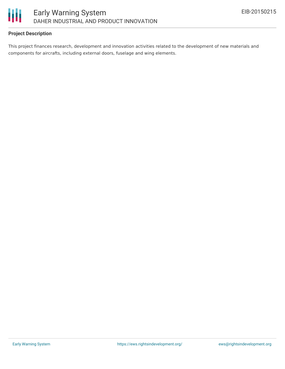

### **Project Description**

This project finances research, development and innovation activities related to the development of new materials and components for aircrafts, including external doors, fuselage and wing elements.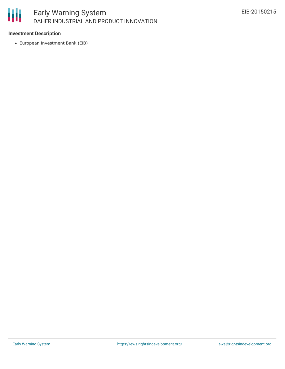# 朋

### **Investment Description**

European Investment Bank (EIB)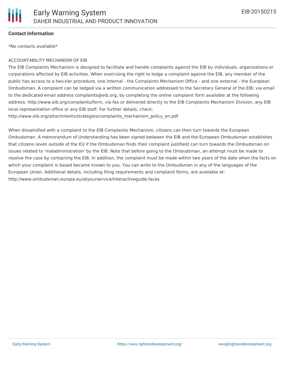

### **Contact Information**

\*No contacts available\*

#### ACCOUNTABILITY MECHANISM OF EIB

The EIB Complaints Mechanism is designed to facilitate and handle complaints against the EIB by individuals, organizations or corporations affected by EIB activities. When exercising the right to lodge a complaint against the EIB, any member of the public has access to a two-tier procedure, one internal - the Complaints Mechanism Office - and one external - the European Ombudsman. A complaint can be lodged via a written communication addressed to the Secretary General of the EIB, via email to the dedicated email address complaints@eib.org, by completing the online complaint form available at the following address: http://www.eib.org/complaints/form, via fax or delivered directly to the EIB Complaints Mechanism Division, any EIB local representation office or any EIB staff. For further details, check: http://www.eib.org/attachments/strategies/complaints\_mechanism\_policy\_en.pdf

When dissatisfied with a complaint to the EIB Complaints Mechanism, citizens can then turn towards the European Ombudsman. A memorandum of Understanding has been signed between the EIB and the European Ombudsman establishes that citizens (even outside of the EU if the Ombudsman finds their complaint justified) can turn towards the Ombudsman on issues related to 'maladministration' by the EIB. Note that before going to the Ombudsman, an attempt must be made to resolve the case by contacting the EIB. In addition, the complaint must be made within two years of the date when the facts on which your complaint is based became known to you. You can write to the Ombudsman in any of the languages of the European Union. Additional details, including filing requirements and complaint forms, are available at: http://www.ombudsman.europa.eu/atyourservice/interactiveguide.faces